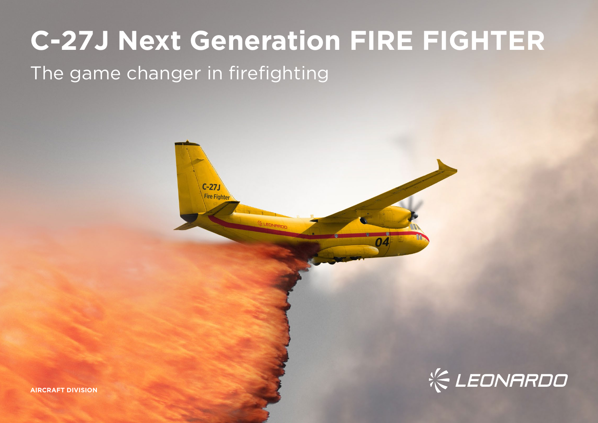# **C-27J Next Generation FIRE FIGHTER**

## The game changer in firefighting



**AIRCRAFT DIVISION**